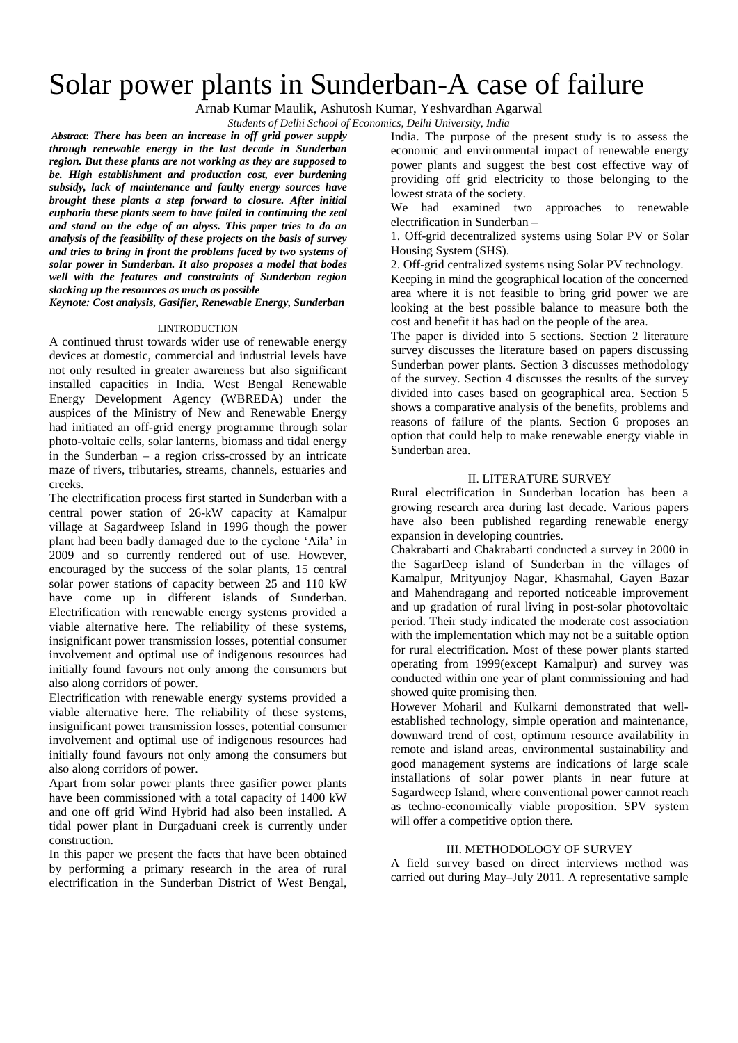# Solar power plants in Sunderban-A case of failure

Arnab Kumar Maulik, Ashutosh Kumar, Yeshvardhan Agarwal

*Students of Delhi School of Economics, Delhi University, India*

*Abstract*: *There has been an increase in off grid power supply through renewable energy in the last decade in Sunderban region. But these plants are not working as they are supposed to be. High establishment and production cost, ever burdening subsidy, lack of maintenance and faulty energy sources have brought these plants a step forward to closure. After initial euphoria these plants seem to have failed in continuing the zeal and stand on the edge of an abyss. This paper tries to do an analysis of the feasibility of these projects on the basis of survey and tries to bring in front the problems faced by two systems of solar power in Sunderban. It also proposes a model that bodes well with the features and constraints of Sunderban region slacking up the resources as much as possible*

*Keynote: Cost analysis, Gasifier, Renewable Energy, Sunderban*

#### I.INTRODUCTION

A continued thrust towards wider use of renewable energy devices at domestic, commercial and industrial levels have not only resulted in greater awareness but also significant installed capacities in India. West Bengal Renewable Energy Development Agency (WBREDA) under the auspices of the Ministry of New and Renewable Energy had initiated an off-grid energy programme through solar photo-voltaic cells, solar lanterns, biomass and tidal energy in the Sunderban – a region criss-crossed by an intricate maze of rivers, tributaries, streams, channels, estuaries and creeks.

The electrification process first started in Sunderban with a central power station of 26-kW capacity at Kamalpur village at Sagardweep Island in 1996 though the power plant had been badly damaged due to the cyclone 'Aila' in 2009 and so currently rendered out of use. However, encouraged by the success of the solar plants, 15 central solar power stations of capacity between 25 and 110 kW have come up in different islands of Sunderban. Electrification with renewable energy systems provided a viable alternative here. The reliability of these systems, insignificant power transmission losses, potential consumer involvement and optimal use of indigenous resources had initially found favours not only among the consumers but also along corridors of power.

Electrification with renewable energy systems provided a viable alternative here. The reliability of these systems, insignificant power transmission losses, potential consumer involvement and optimal use of indigenous resources had initially found favours not only among the consumers but also along corridors of power.

Apart from solar power plants three gasifier power plants have been commissioned with a total capacity of 1400 kW and one off grid Wind Hybrid had also been installed. A tidal power plant in Durgaduani creek is currently under construction.

In this paper we present the facts that have been obtained by performing a primary research in the area of rural electrification in the Sunderban District of West Bengal, India. The purpose of the present study is to assess the economic and environmental impact of renewable energy power plants and suggest the best cost effective way of providing off grid electricity to those belonging to the lowest strata of the society.

We had examined two approaches to renewable electrification in Sunderban –

1. Off-grid decentralized systems using Solar PV or Solar Housing System (SHS).

2. Off-grid centralized systems using Solar PV technology.

Keeping in mind the geographical location of the concerned area where it is not feasible to bring grid power we are looking at the best possible balance to measure both the cost and benefit it has had on the people of the area.

The paper is divided into 5 sections. Section 2 literature survey discusses the literature based on papers discussing Sunderban power plants. Section 3 discusses methodology of the survey. Section 4 discusses the results of the survey divided into cases based on geographical area. Section 5 shows a comparative analysis of the benefits, problems and reasons of failure of the plants. Section 6 proposes an option that could help to make renewable energy viable in Sunderban area.

## II. LITERATURE SURVEY

Rural electrification in Sunderban location has been a growing research area during last decade. Various papers have also been published regarding renewable energy expansion in developing countries.

Chakrabarti and Chakrabarti conducted a survey in 2000 in the SagarDeep island of Sunderban in the villages of Kamalpur, Mrityunjoy Nagar, Khasmahal, Gayen Bazar and Mahendragang and reported noticeable improvement and up gradation of rural living in post-solar photovoltaic period. Their study indicated the moderate cost association with the implementation which may not be a suitable option for rural electrification. Most of these power plants started operating from 1999(except Kamalpur) and survey was conducted within one year of plant commissioning and had showed quite promising then.

However Moharil and Kulkarni demonstrated that wellestablished technology, simple operation and maintenance, downward trend of cost, optimum resource availability in remote and island areas, environmental sustainability and good management systems are indications of large scale installations of solar power plants in near future at Sagardweep Island, where conventional power cannot reach as techno-economically viable proposition. SPV system will offer a competitive option there.

## III. METHODOLOGY OF SURVEY

A field survey based on direct interviews method was carried out during May–July 2011. A representative sample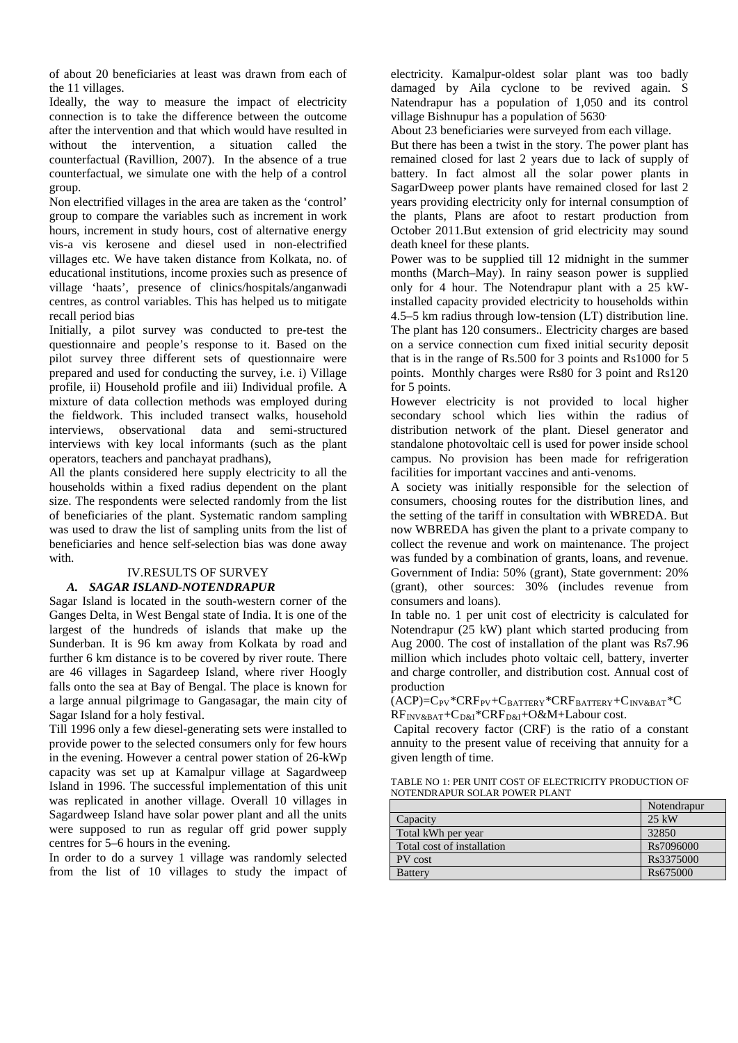of about 20 beneficiaries at least was drawn from each of the 11 villages.

Ideally, the way to measure the impact of electricity connection is to take the difference between the outcome after the intervention and that which would have resulted in without the intervention, a situation called the counterfactual (Ravillion, 2007). In the absence of a true counterfactual, we simulate one with the help of a control group.

Non electrified villages in the area are taken as the 'control' group to compare the variables such as increment in work hours, increment in study hours, cost of alternative energy vis-a vis kerosene and diesel used in non-electrified villages etc. We have taken distance from Kolkata, no. of educational institutions, income proxies such as presence of village 'haats', presence of clinics/hospitals/anganwadi centres, as control variables. This has helped us to mitigate recall period bias

Initially, a pilot survey was conducted to pre-test the questionnaire and people's response to it. Based on the pilot survey three different sets of questionnaire were prepared and used for conducting the survey, i.e. i) Village profile, ii) Household profile and iii) Individual profile. A mixture of data collection methods was employed during the fieldwork. This included transect walks, household interviews, observational data and semi-structured interviews with key local informants (such as the plant operators, teachers and panchayat pradhans),

All the plants considered here supply electricity to all the households within a fixed radius dependent on the plant size. The respondents were selected randomly from the list of beneficiaries of the plant. Systematic random sampling was used to draw the list of sampling units from the list of beneficiaries and hence self-selection bias was done away with.

### IV.RESULTS OF SURVEY *A. SAGAR ISLAND-NOTENDRAPUR*

Sagar Island is located in the south-western corner of the Ganges Delta, in West Bengal state of India. It is one of the largest of the hundreds of islands that make up the Sunderban. It is 96 km away from Kolkata by road and further 6 km distance is to be covered by river route. There are 46 villages in Sagardeep Island, where river Hoogly falls onto the sea at Bay of Bengal. The place is known for a large annual pilgrimage to Gangasagar, the main city of Sagar Island for a holy festival.

Till 1996 only a few diesel-generating sets were installed to provide power to the selected consumers only for few hours in the evening. However a central power station of 26-kWp capacity was set up at Kamalpur village at Sagardweep Island in 1996. The successful implementation of this unit was replicated in another village. Overall 10 villages in Sagardweep Island have solar power plant and all the units were supposed to run as regular off grid power supply centres for 5–6 hours in the evening.

In order to do a survey 1 village was randomly selected from the list of 10 villages to study the impact of electricity. Kamalpur-oldest solar plant was too badly damaged by Aila cyclone to be revived again. S Natendrapur has a population of 1,050 and its control village Bishnupur has a population of 5630.

About 23 beneficiaries were surveyed from each village.

But there has been a twist in the story. The power plant has remained closed for last 2 years due to lack of supply of battery. In fact almost all the solar power plants in SagarDweep power plants have remained closed for last 2 years providing electricity only for internal consumption of the plants, Plans are afoot to restart production from October 2011.But extension of grid electricity may sound death kneel for these plants.

Power was to be supplied till 12 midnight in the summer months (March–May). In rainy season power is supplied only for 4 hour. The Notendrapur plant with a 25 kWinstalled capacity provided electricity to households within 4.5–5 km radius through low-tension (LT) distribution line. The plant has 120 consumers.. Electricity charges are based on a service connection cum fixed initial security deposit that is in the range of Rs.500 for 3 points and Rs1000 for 5 points. Monthly charges were Rs80 for 3 point and Rs120 for 5 points.

However electricity is not provided to local higher secondary school which lies within the radius of distribution network of the plant. Diesel generator and standalone photovoltaic cell is used for power inside school campus. No provision has been made for refrigeration facilities for important vaccines and anti-venoms.

A society was initially responsible for the selection of consumers, choosing routes for the distribution lines, and the setting of the tariff in consultation with WBREDA. But now WBREDA has given the plant to a private company to collect the revenue and work on maintenance. The project was funded by a combination of grants, loans, and revenue. Government of India: 50% (grant), State government: 20% (grant), other sources: 30% (includes revenue from consumers and loans).

In table no. 1 per unit cost of electricity is calculated for Notendrapur (25 kW) plant which started producing from Aug 2000. The cost of installation of the plant was Rs7.96 million which includes photo voltaic cell, battery, inverter and charge controller, and distribution cost. Annual cost of production

 $(ACP)=C_{PV}$ \* $CRF_{PV}$ + $C_{BATTERY}$ \* $CRF_{BATTERY}$ + $C_{INV&BAT}$ \* $C$ RF<sub>INV&BAT</sub>+C<sub>D&I</sub>\*CRF<sub>D&I</sub>+O&M+Labour cost.

Capital recovery factor (CRF) is the ratio of a constant annuity to the present value of receiving that annuity for a given length of time.

| TABLE NO 1: PER UNIT COST OF ELECTRICITY PRODUCTION OF |
|--------------------------------------------------------|
| NOTENDRAPUR SOLAR POWER PLANT                          |

|                            | Notendrapur |
|----------------------------|-------------|
| Capacity                   | 25 kW       |
| Total kWh per year         | 32850       |
| Total cost of installation | Rs7096000   |
| PV cost                    | Rs3375000   |
| <b>Battery</b>             | Rs675000    |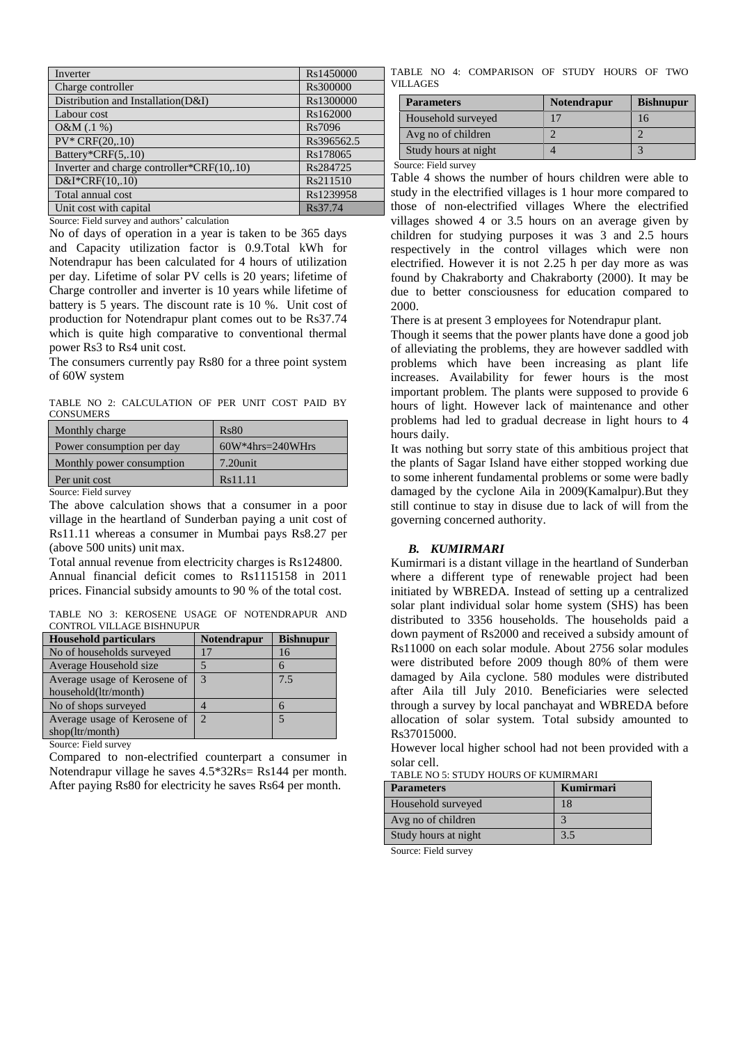| Inverter                                   | Rs1450000  |
|--------------------------------------------|------------|
| Charge controller                          | Rs300000   |
| Distribution and Installation(D&I)         | Rs1300000  |
| Labour cost                                | Rs162000   |
| O&M(.1%)                                   | Rs7096     |
| $PV^*$ CRF $(20, 10)$                      | Rs396562.5 |
| Battery*CRF(5,.10)                         | Rs178065   |
| Inverter and charge controller*CRF(10,.10) | Rs284725   |
| $D&I*CRF(10,.10)$                          | Rs211510   |
| Total annual cost                          | Rs1239958  |
| Unit cost with capital                     | Rs37.74    |

Source: Field survey and authors' calculation

No of days of operation in a year is taken to be 365 days and Capacity utilization factor is 0.9.Total kWh for Notendrapur has been calculated for 4 hours of utilization per day. Lifetime of solar PV cells is 20 years; lifetime of Charge controller and inverter is 10 years while lifetime of battery is 5 years. The discount rate is 10 %. Unit cost of production for Notendrapur plant comes out to be Rs37.74 which is quite high comparative to conventional thermal power Rs3 to Rs4 unit cost.

The consumers currently pay Rs80 for a three point system of 60W system

TABLE NO 2: CALCULATION OF PER UNIT COST PAID BY **CONSUMERS** 

| Monthly charge            | Rs80                 |
|---------------------------|----------------------|
| Power consumption per day | $60W*4hrs = 240WHrs$ |
| Monthly power consumption | $7.20$ unit          |
| Per unit cost             | Rs11.11              |
| $\alpha$ $\mathbf{r}$ 11  |                      |

Source: Field survey

The above calculation shows that a consumer in a poor village in the heartland of Sunderban paying a unit cost of Rs11.11 whereas a consumer in Mumbai pays Rs8.27 per (above 500 units) unit max.

Total annual revenue from electricity charges is Rs124800. Annual financial deficit comes to Rs1115158 in 2011 prices. Financial subsidy amounts to 90 % of the total cost.

TABLE NO 3: KEROSENE USAGE OF NOTENDRAPUR AND CONTROL VILLAGE BISHNUPUR

| <b>Household particulars</b>               | <b>Notendrapur</b> | <b>Bishnupur</b> |
|--------------------------------------------|--------------------|------------------|
| No of households surveyed                  |                    | 16               |
| Average Household size                     |                    |                  |
| Average usage of Kerosene of               | 3                  | 7.5              |
| household(ltr/month)                       |                    |                  |
| No of shops surveyed                       |                    |                  |
| Average usage of Kerosene of               | $\mathcal{D}$      |                  |
| shop(ltr/month)                            |                    |                  |
| $C_{\text{outmax}}$ $E_{\text{a}}$ defines |                    |                  |

Source: Field survey

Compared to non-electrified counterpart a consumer in Notendrapur village he saves 4.5\*32Rs= Rs144 per month. After paying Rs80 for electricity he saves Rs64 per month.

TABLE NO 4: COMPARISON OF STUDY HOURS OF TWO VILLAGES

| <b>Parameters</b>    | <b>Notendrapur</b> | <b>Bishnupur</b> |
|----------------------|--------------------|------------------|
| Household surveyed   |                    | 16               |
| Avg no of children   |                    |                  |
| Study hours at night |                    |                  |

Source: Field survey

Table 4 shows the number of hours children were able to study in the electrified villages is 1 hour more compared to those of non-electrified villages Where the electrified villages showed 4 or 3.5 hours on an average given by children for studying purposes it was 3 and 2.5 hours respectively in the control villages which were non electrified. However it is not 2.25 h per day more as was found by Chakraborty and Chakraborty (2000). It may be due to better consciousness for education compared to 2000.

There is at present 3 employees for Notendrapur plant.

Though it seems that the power plants have done a good job of alleviating the problems, they are however saddled with problems which have been increasing as plant life increases. Availability for fewer hours is the most important problem. The plants were supposed to provide 6 hours of light. However lack of maintenance and other problems had led to gradual decrease in light hours to 4 hours daily.

It was nothing but sorry state of this ambitious project that the plants of Sagar Island have either stopped working due to some inherent fundamental problems or some were badly damaged by the cyclone Aila in 2009(Kamalpur).But they still continue to stay in disuse due to lack of will from the governing concerned authority.

## *B. KUMIRMARI*

Kumirmari is a distant village in the heartland of Sunderban where a different type of renewable project had been initiated by WBREDA. Instead of setting up a centralized solar plant individual solar home system (SHS) has been distributed to 3356 households. The households paid a down payment of Rs2000 and received a subsidy amount of Rs11000 on each solar module. About 2756 solar modules were distributed before 2009 though 80% of them were damaged by Aila cyclone. 580 modules were distributed after Aila till July 2010. Beneficiaries were selected through a survey by local panchayat and WBREDA before allocation of solar system. Total subsidy amounted to Rs37015000.

However local higher school had not been provided with a solar cell.

TABLE NO 5: STUDY HOURS OF KUMIRMARI

| <b>Parameters</b>    | Kumirmari |
|----------------------|-----------|
| Household surveyed   | 18        |
| Avg no of children   |           |
| Study hours at night | 3.5       |
| -<br>----            |           |

Source: Field survey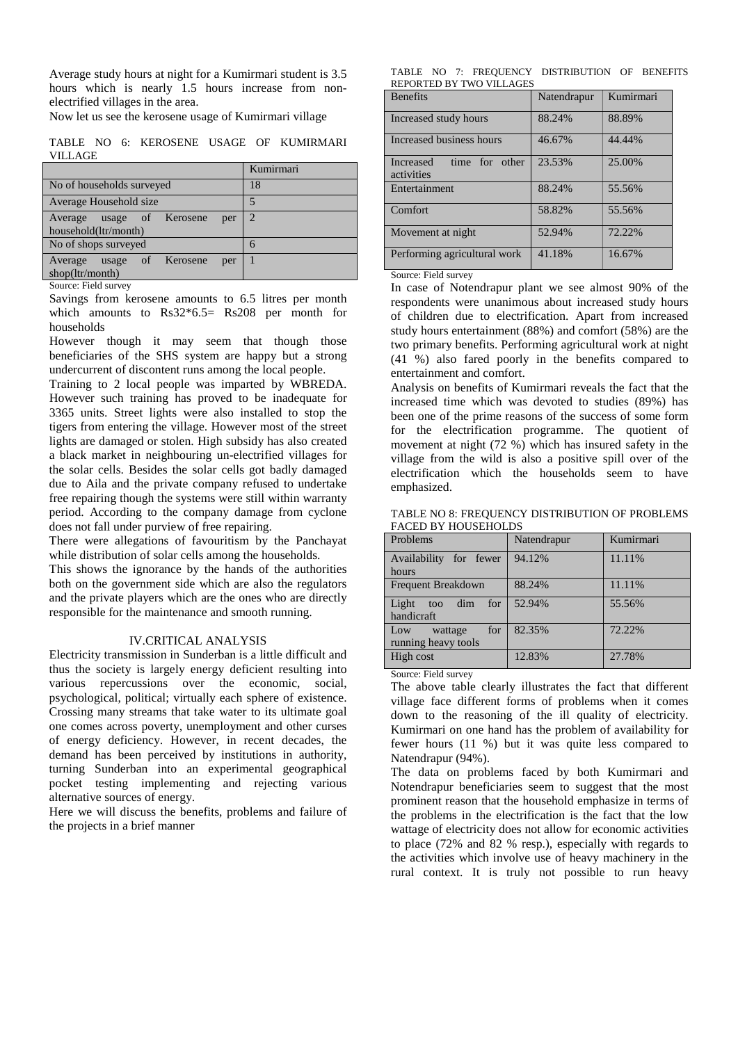Average study hours at night for a Kumirmari student is 3.5 hours which is nearly 1.5 hours increase from nonelectrified villages in the area.

Now let us see the kerosene usage of Kumirmari village

TABLE NO 6: KEROSENE USAGE OF KUMIRMARI VILLAGE

| No of households surveyed<br>18                   |  |
|---------------------------------------------------|--|
|                                                   |  |
| 5<br>Average Household size                       |  |
| $\mathcal{D}$<br>Average usage of Kerosene<br>per |  |
| household(ltr/month)                              |  |
| No of shops surveyed<br>6                         |  |
| Average usage of Kerosene<br>per                  |  |
| shop(ltr/month)                                   |  |

Source: Field survey

Savings from kerosene amounts to 6.5 litres per month which amounts to Rs32<sup>\*6.5</sup> Rs208 per month for households

However though it may seem that though those beneficiaries of the SHS system are happy but a strong undercurrent of discontent runs among the local people.

Training to 2 local people was imparted by WBREDA. However such training has proved to be inadequate for 3365 units. Street lights were also installed to stop the tigers from entering the village. However most of the street lights are damaged or stolen. High subsidy has also created a black market in neighbouring un-electrified villages for the solar cells. Besides the solar cells got badly damaged due to Aila and the private company refused to undertake free repairing though the systems were still within warranty period. According to the company damage from cyclone does not fall under purview of free repairing.

There were allegations of favouritism by the Panchayat while distribution of solar cells among the households.

This shows the ignorance by the hands of the authorities both on the government side which are also the regulators and the private players which are the ones who are directly responsible for the maintenance and smooth running.

## IV.CRITICAL ANALYSIS

Electricity transmission in Sunderban is a little difficult and thus the society is largely energy deficient resulting into various repercussions over the economic, social, psychological, political; virtually each sphere of existence. Crossing many streams that take water to its ultimate goal one comes across poverty, unemployment and other curses of energy deficiency. However, in recent decades, the demand has been perceived by institutions in authority, turning Sunderban into an experimental geographical pocket testing implementing and rejecting various alternative sources of energy.

Here we will discuss the benefits, problems and failure of the projects in a brief manner

TABLE NO 7: FREQUENCY DISTRIBUTION OF BENEFITS REPORTED BY TWO VILLAGES

| <b>Benefits</b>                           | Natendrapur | Kumirmari |
|-------------------------------------------|-------------|-----------|
| Increased study hours                     | 88.24%      | 88.89%    |
| Increased business hours                  | 46.67%      | 44.44%    |
| Increased<br>time for other<br>activities | 23.53%      | 25.00%    |
| Entertainment                             | 88.24%      | 55.56%    |
| Comfort                                   | 58.82%      | 55.56%    |
| Movement at night                         | 52.94%      | 72.22%    |
| Performing agricultural work              | 41.18%      | 16.67%    |

## Source: Field survey

In case of Notendrapur plant we see almost 90% of the respondents were unanimous about increased study hours of children due to electrification. Apart from increased study hours entertainment (88%) and comfort (58%) are the two primary benefits. Performing agricultural work at night (41 %) also fared poorly in the benefits compared to entertainment and comfort.

Analysis on benefits of Kumirmari reveals the fact that the increased time which was devoted to studies (89%) has been one of the prime reasons of the success of some form for the electrification programme. The quotient of movement at night (72 %) which has insured safety in the village from the wild is also a positive spill over of the electrification which the households seem to have emphasized.

| TABLE NO 8: FREQUENCY DISTRIBUTION OF PROBLEMS |
|------------------------------------------------|
| <b>FACED BY HOUSEHOLDS</b>                     |

| Problems                   | Natendrapur | Kumirmari |
|----------------------------|-------------|-----------|
| Availability for fewer     | 94.12%      | 11.11%    |
| hours                      |             |           |
| <b>Frequent Breakdown</b>  | 88.24%      | 11.11%    |
| for<br>Light<br>dim<br>too | 52.94%      | 55.56%    |
| handicraft                 |             |           |
| for<br>Low<br>wattage      | 82.35%      | 72.22%    |
| running heavy tools        |             |           |
| High cost                  | 12.83%      | 27.78%    |

Source: Field survey

The above table clearly illustrates the fact that different village face different forms of problems when it comes down to the reasoning of the ill quality of electricity. Kumirmari on one hand has the problem of availability for fewer hours (11 %) but it was quite less compared to Natendrapur (94%).

The data on problems faced by both Kumirmari and Notendrapur beneficiaries seem to suggest that the most prominent reason that the household emphasize in terms of the problems in the electrification is the fact that the low wattage of electricity does not allow for economic activities to place (72% and 82 % resp.), especially with regards to the activities which involve use of heavy machinery in the rural context. It is truly not possible to run heavy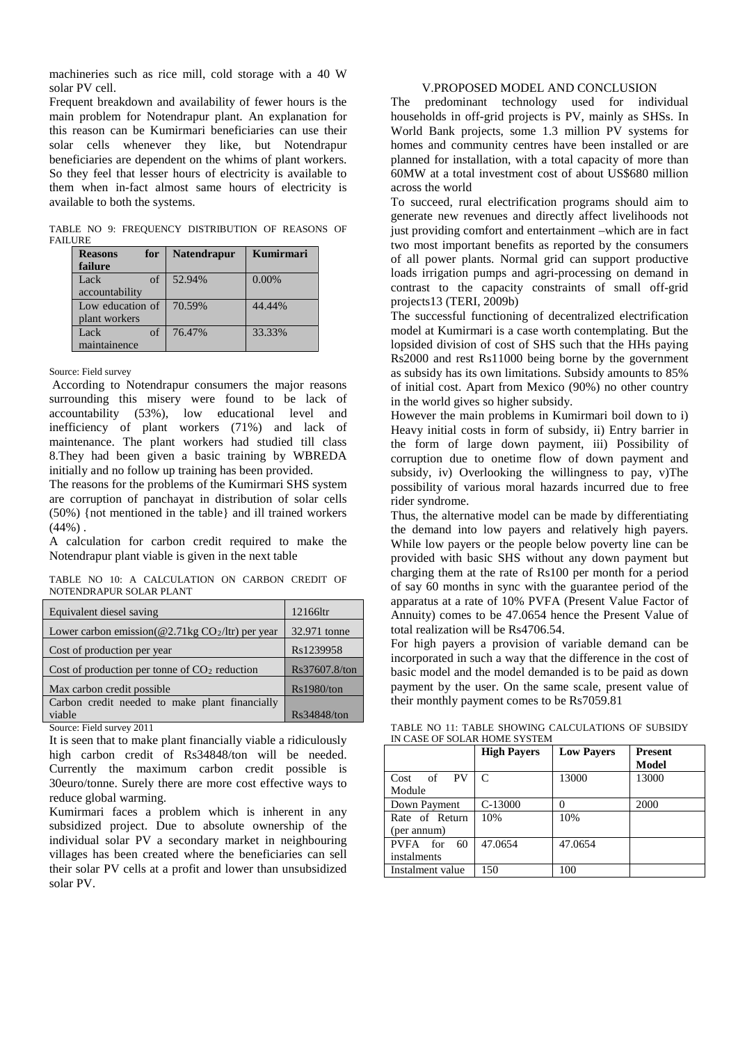machineries such as rice mill, cold storage with a 40 W solar PV cell.

Frequent breakdown and availability of fewer hours is the main problem for Notendrapur plant. An explanation for this reason can be Kumirmari beneficiaries can use their solar cells whenever they like, but Notendrapur beneficiaries are dependent on the whims of plant workers. So they feel that lesser hours of electricity is available to them when in-fact almost same hours of electricity is available to both the systems.

TABLE NO 9: FREQUENCY DISTRIBUTION OF REASONS OF **FAILURE** 

| for<br><b>Reasons</b> | <b>Natendrapur</b> | Kumirmari |
|-----------------------|--------------------|-----------|
| failure               |                    |           |
| Lack<br>of            | 52.94%             | $0.00\%$  |
| accountability        |                    |           |
| Low education of      | 70.59%             | 44.44%    |
| plant workers         |                    |           |
| Lack<br>of            | 76.47%             | 33.33%    |
| maintainence          |                    |           |

Source: Field survey

According to Notendrapur consumers the major reasons surrounding this misery were found to be lack of accountability (53%), low educational level and inefficiency of plant workers (71%) and lack of maintenance. The plant workers had studied till class 8.They had been given a basic training by WBREDA initially and no follow up training has been provided.

The reasons for the problems of the Kumirmari SHS system are corruption of panchayat in distribution of solar cells (50%) {not mentioned in the table} and ill trained workers  $(44%).$ 

A calculation for carbon credit required to make the Notendrapur plant viable is given in the next table

TABLE NO 10: A CALCULATION ON CARBON CREDIT OF NOTENDRAPUR SOLAR PLANT

| Equivalent diesel saving                                           | 12166ltr      |
|--------------------------------------------------------------------|---------------|
| Lower carbon emission( $@2.71\text{kg CO}_2/\text{ltr}$ ) per year | 32.971 tonne  |
| Cost of production per year                                        | Rs1239958     |
| Cost of production per tonne of $CO2$ reduction                    | Rs37607.8/ton |
| Max carbon credit possible                                         | Rs1980/ton    |
| Carbon credit needed to make plant financially                     |               |
| viable                                                             | Rs34848/ton   |

Source: Field survey 2011

It is seen that to make plant financially viable a ridiculously high carbon credit of Rs34848/ton will be needed. Currently the maximum carbon credit possible is 30euro/tonne. Surely there are more cost effective ways to reduce global warming.

Kumirmari faces a problem which is inherent in any subsidized project. Due to absolute ownership of the individual solar PV a secondary market in neighbouring villages has been created where the beneficiaries can sell their solar PV cells at a profit and lower than unsubsidized solar PV.

## V.PROPOSED MODEL AND CONCLUSION

The predominant technology used for individual households in off-grid projects is PV, mainly as SHSs. In World Bank projects, some 1.3 million PV systems for homes and community centres have been installed or are planned for installation, with a total capacity of more than 60MW at a total investment cost of about US\$680 million across the world

To succeed, rural electrification programs should aim to generate new revenues and directly affect livelihoods not just providing comfort and entertainment –which are in fact two most important benefits as reported by the consumers of all power plants. Normal grid can support productive loads irrigation pumps and agri-processing on demand in contrast to the capacity constraints of small off-grid projects13 (TERI, 2009b)

The successful functioning of decentralized electrification model at Kumirmari is a case worth contemplating. But the lopsided division of cost of SHS such that the HHs paying Rs2000 and rest Rs11000 being borne by the government as subsidy has its own limitations. Subsidy amounts to 85% of initial cost. Apart from Mexico (90%) no other country in the world gives so higher subsidy.

However the main problems in Kumirmari boil down to i) Heavy initial costs in form of subsidy, ii) Entry barrier in the form of large down payment, iii) Possibility of corruption due to onetime flow of down payment and subsidy, iv) Overlooking the willingness to pay, v)The possibility of various moral hazards incurred due to free rider syndrome.

Thus, the alternative model can be made by differentiating the demand into low payers and relatively high payers. While low payers or the people below poverty line can be provided with basic SHS without any down payment but charging them at the rate of Rs100 per month for a period of say 60 months in sync with the guarantee period of the apparatus at a rate of 10% PVFA (Present Value Factor of Annuity) comes to be 47.0654 hence the Present Value of total realization will be Rs4706.54.

For high payers a provision of variable demand can be incorporated in such a way that the difference in the cost of basic model and the model demanded is to be paid as down payment by the user. On the same scale, present value of their monthly payment comes to be Rs7059.81

TABLE NO 11: TABLE SHOWING CALCULATIONS OF SUBSIDY IN CASE OF SOLAR HOME SYSTEM

|                                   | <b>High Payers</b> | <b>Low Pavers</b> | <b>Present</b><br>Model |
|-----------------------------------|--------------------|-------------------|-------------------------|
| <b>PV</b><br>of<br>Cost<br>Module | C                  | 13000             | 13000                   |
| Down Payment                      | $C-13000$          |                   | 2000                    |
| Rate of Return<br>(per annum)     | 10%                | 10%               |                         |
| PVFA for<br>60<br>instalments     | 47.0654            | 47.0654           |                         |
| Instalment value                  | 150                | 100               |                         |